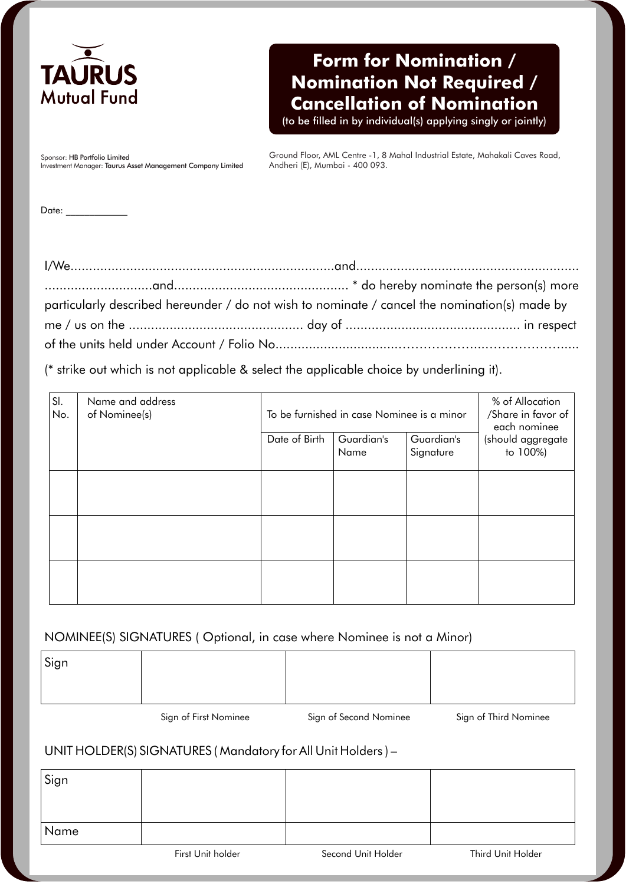

## **Form for Nomination / Nomination Not Required / Cancellation of Nomination**

(to be filled in by individual(s) applying singly or jointly)

Sponsor: HB Portfolio Limited Investment Manager: Taurus Asset Management Company Limited Ground Floor, AML Centre -1, 8 Mahal Industrial Estate, Mahakali Caves Road, Andheri (E), Mumbai - 400 093.

Date:

| particularly described hereunder / do not wish to nominate / cancel the nomination(s) made by |  |
|-----------------------------------------------------------------------------------------------|--|
|                                                                                               |  |
|                                                                                               |  |

(\* strike out which is not applicable & select the applicable choice by underlining it).

| SI.<br>No. | Name and address<br>of Nominee(s) | To be furnished in case Nominee is a minor |                    |                         | % of Allocation<br>/Share in favor of<br>each nominee |
|------------|-----------------------------------|--------------------------------------------|--------------------|-------------------------|-------------------------------------------------------|
|            |                                   | Date of Birth                              | Guardian's<br>Name | Guardian's<br>Signature | (should aggregate<br>to 100%)                         |
|            |                                   |                                            |                    |                         |                                                       |
|            |                                   |                                            |                    |                         |                                                       |
|            |                                   |                                            |                    |                         |                                                       |

## NOMINEE(S) SIGNATURES ( Optional, in case where Nominee is not a Minor)

| Sign |  |  |
|------|--|--|
|      |  |  |
|      |  |  |

Sign of First Nominee Sign of Second Nominee Sign of Third Nominee

## UNIT HOLDER(S) SIGNATURES ( Mandatory for All Unit Holders ) –

| Sign |                   |                    |                   |
|------|-------------------|--------------------|-------------------|
| Name |                   |                    |                   |
|      | First Unit holder | Second Unit Holder | Third Unit Holder |